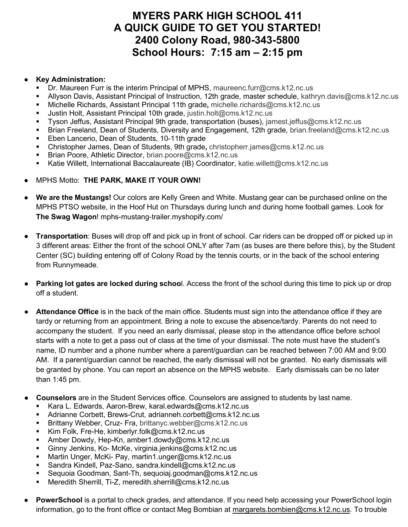## **MYERS PARK HIGH SCHOOL 411 A QUICK GUIDE TO GET YOU STARTED! 2400 Colony Road, 980-343-5800 School Hours: 7:15 am – 2:15 pm**

## ● **Key Administration:**

- Dr. Maureen Furr is the interim Principal of MPHS, maureenc.furr@cms.k12.nc.us
- Allyson Davis, Assistant Principal of Instruction, 12th grade, master schedule, kathryn.davis@cms.k12.nc.us
- Michelle Richards, Assistant Principal 11th grade**,** michelle.richards@cms.k12.nc.us
- Justin Holt, Assistant Principal 10th grade, justin.holt@cms.k12.nc.us
- Tyson Jeffus, Assistant Principal 9th grade, transportation (buses), jamest.jeffus@cms.k12.nc.us
- Brian Freeland, Dean of Students, Diversity and Engagement, 12th grade, brian.freeland@cms.k12.nc.us
- **Eben Lancerio, Dean of Students, 10-11th grade**
- Christopher James, Dean of Students, 9th grade**,** christopherr.james@cms.k12.nc.us
- Brian Poore, Athletic Director, brian.poore@cms.k12.nc.us
- Katie Willett, International Baccalaureate (IB) Coordinator, katie.willett@cms.k12.nc.us
- MPHS Motto: **THE PARK, MAKE IT YOUR OWN!**
- **We are the Mustangs!** Our colors are Kelly Green and White. Mustang gear can be purchased online on the MPHS PTSO website, in the Hoof Hut on Thursdays during lunch and during home football games. Look for **The Swag Wagon**! mphs-mustang-trailer.myshopify.com/
- **Transportation**: Buses will drop off and pick up in front of school. Car riders can be dropped off or picked up in 3 different areas: Either the front of the school ONLY after 7am (as buses are there before this), by the Student Center (SC) building entering off of Colony Road by the tennis courts, or in the back of the school entering from Runnymeade.
- **Parking lot gates are locked during schoo**l. Access the front of the school during this time to pick up or drop off a student.
- **Attendance Office** is in the back of the main office. Students must sign into the attendance office if they are tardy or returning from an appointment. Bring a note to excuse the absence/tardy. Parents do not need to accompany the student. If you need an early dismissal, please stop in the attendance office before school starts with a note to get a pass out of class at the time of your dismissal. The note must have the student's name, ID number and a phone number where a parent/guardian can be reached between 7:00 AM and 9:00 AM. If a parent/guardian cannot be reached, the early dismissal will not be granted. No early dismissals will be granted by phone. You can report an absence on the MPHS website. Early dismissals can be no later than 1:45 pm.
- **Counselors** are in the Student Services office. Counselors are assigned to students by last name.
	- Kara L. Edwards, Aaron-Brew, [karal.edwards@cms.k12.nc.us](mailto:karal.edwards@cms.k12.nc.us)
	- Adrianne Corbett, Brews-Crut, [adrianneh.corbett@cms.k12.nc.us](mailto:adrianneh.corbett@cms.k12.nc.us)
	- Brittany Webber, Cruz- Fra, brittanyc.webber@cms.k12.nc.us
	- Kim Folk, Fre-He, [kimberlyr.folk@cms.k12.nc.us](mailto:kimberlyr.folk@cms.k12.nc.us)
	- Amber Dowdy, Hep-Kn, [amber1.dowdy@cms.k12.nc.us](mailto:amber1.dowdy@cms.k12.nc.us)
	- Ginny Jenkins, Ko- McKe, [virginia.jenkins@cms.k12.nc.us](mailto:virginia.jenkins@cms.k12.nc.us)
	- Martin Unger, McKi- Pay, [martin1.unger@cms.k12.nc.us](mailto:martin1.unger@cms.k12.nc.us)
	- Sandra Kindell, Paz-Sano, [sandra.kindell@cms.k12.nc.us](mailto:sandra.kindell@cms.k12.nc.us)
	- Sequoia Goodman, Sant-Th, [sequoiaj.goodman@cms.k12.nc.us](mailto:sequoiaj.goodman@cms.k12.nc.us)
	- Meredith Sherrill, Ti-Z, [meredith.sherrill@cms.k12.nc.us](mailto:meredith.sherrill@cms.k12.nc.us)
- **PowerSchool** is a portal to check grades, and attendance. If you need help accessing your PowerSchool login information, go to the front office or contact Meg Bombian at [margarets.bombien@cms.k12.nc.us.](mailto:margarets.bombien@cms.k12.nc.us) To trouble